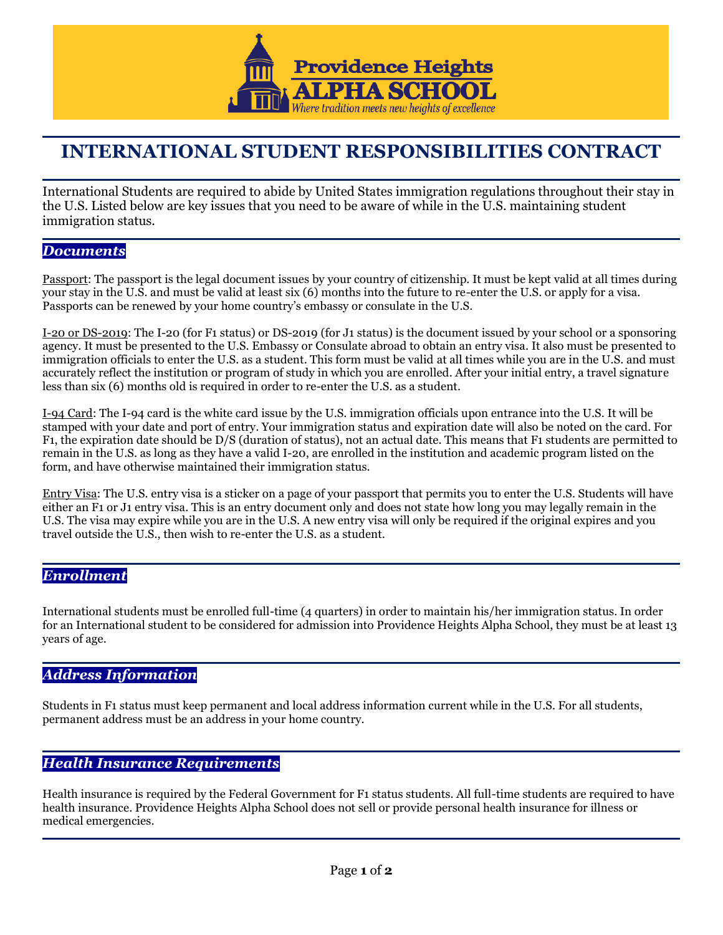

# **INTERNATIONAL STUDENT RESPONSIBILITIES CONTRACT**

International Students are required to abide by United States immigration regulations throughout their stay in the U.S. Listed below are key issues that you need to be aware of while in the U.S. maintaining student immigration status.

# *Documents*

Passport: The passport is the legal document issues by your country of citizenship. It must be kept valid at all times during your stay in the U.S. and must be valid at least six (6) months into the future to re-enter the U.S. or apply for a visa. Passports can be renewed by your home country's embassy or consulate in the U.S.

I-20 or DS-2019: The I-20 (for F1 status) or DS-2019 (for J1 status) is the document issued by your school or a sponsoring agency. It must be presented to the U.S. Embassy or Consulate abroad to obtain an entry visa. It also must be presented to immigration officials to enter the U.S. as a student. This form must be valid at all times while you are in the U.S. and must accurately reflect the institution or program of study in which you are enrolled. After your initial entry, a travel signature less than six (6) months old is required in order to re-enter the U.S. as a student.

I-94 Card: The I-94 card is the white card issue by the U.S. immigration officials upon entrance into the U.S. It will be stamped with your date and port of entry. Your immigration status and expiration date will also be noted on the card. For F1, the expiration date should be D/S (duration of status), not an actual date. This means that F1 students are permitted to remain in the U.S. as long as they have a valid I-20, are enrolled in the institution and academic program listed on the form, and have otherwise maintained their immigration status.

Entry Visa: The U.S. entry visa is a sticker on a page of your passport that permits you to enter the U.S. Students will have either an F1 or J1 entry visa. This is an entry document only and does not state how long you may legally remain in the U.S. The visa may expire while you are in the U.S. A new entry visa will only be required if the original expires and you travel outside the U.S., then wish to re-enter the U.S. as a student.

### *Enrollment*

International students must be enrolled full-time (4 quarters) in order to maintain his/her immigration status. In order for an International student to be considered for admission into Providence Heights Alpha School, they must be at least 13 years of age.

# *Address Information*

Students in F1 status must keep permanent and local address information current while in the U.S. For all students, permanent address must be an address in your home country.

# *Health Insurance Requirements*

Health insurance is required by the Federal Government for F1 status students. All full-time students are required to have health insurance. Providence Heights Alpha School does not sell or provide personal health insurance for illness or medical emergencies.